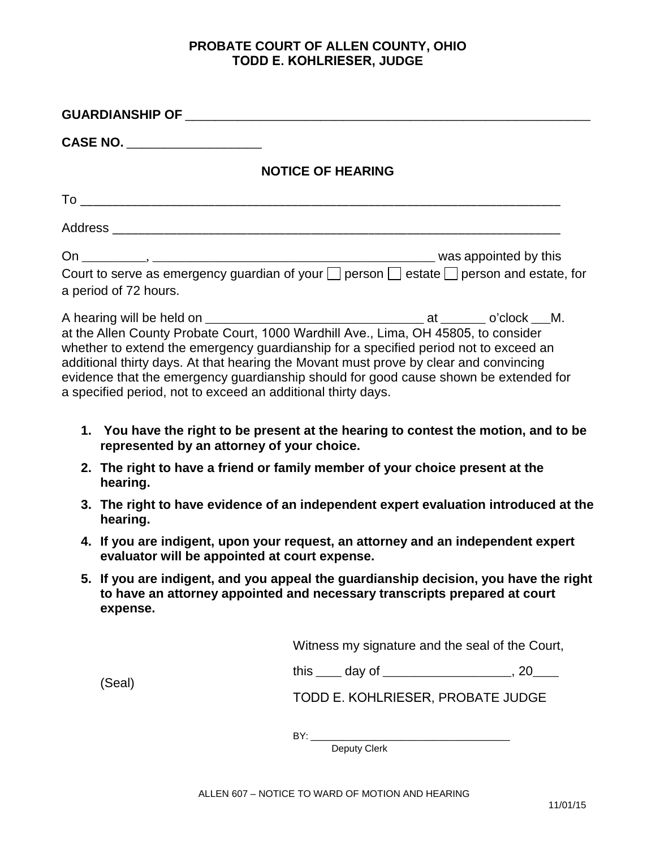## **PROBATE COURT OF ALLEN COUNTY, OHIO TODD E. KOHLRIESER, JUDGE**

|  | GUARDIANSHIP OF ______________________________                                                                                                                                                                                                                                                                                                                                                                                                                             |                                   |  |
|--|----------------------------------------------------------------------------------------------------------------------------------------------------------------------------------------------------------------------------------------------------------------------------------------------------------------------------------------------------------------------------------------------------------------------------------------------------------------------------|-----------------------------------|--|
|  | CASE NO. _____________________                                                                                                                                                                                                                                                                                                                                                                                                                                             |                                   |  |
|  |                                                                                                                                                                                                                                                                                                                                                                                                                                                                            | <b>NOTICE OF HEARING</b>          |  |
|  |                                                                                                                                                                                                                                                                                                                                                                                                                                                                            |                                   |  |
|  |                                                                                                                                                                                                                                                                                                                                                                                                                                                                            |                                   |  |
|  |                                                                                                                                                                                                                                                                                                                                                                                                                                                                            |                                   |  |
|  | Court to serve as emergency guardian of your $\Box$ person $\Box$ estate $\Box$ person and estate, for<br>a period of 72 hours.                                                                                                                                                                                                                                                                                                                                            |                                   |  |
|  | whether to extend the emergency guardianship for a specified period not to exceed an<br>additional thirty days. At that hearing the Movant must prove by clear and convincing<br>evidence that the emergency guardianship should for good cause shown be extended for<br>a specified period, not to exceed an additional thirty days.<br>1. You have the right to be present at the hearing to contest the motion, and to be<br>represented by an attorney of your choice. |                                   |  |
|  | 2. The right to have a friend or family member of your choice present at the<br>hearing.                                                                                                                                                                                                                                                                                                                                                                                   |                                   |  |
|  | 3. The right to have evidence of an independent expert evaluation introduced at the<br>hearing.                                                                                                                                                                                                                                                                                                                                                                            |                                   |  |
|  | 4. If you are indigent, upon your request, an attorney and an independent expert<br>evaluator will be appointed at court expense.                                                                                                                                                                                                                                                                                                                                          |                                   |  |
|  | 5. If you are indigent, and you appeal the guardianship decision, you have the right<br>to have an attorney appointed and necessary transcripts prepared at court<br>expense.                                                                                                                                                                                                                                                                                              |                                   |  |
|  | Witness my signature and the seal of the Court,                                                                                                                                                                                                                                                                                                                                                                                                                            |                                   |  |
|  | (Seal)                                                                                                                                                                                                                                                                                                                                                                                                                                                                     |                                   |  |
|  |                                                                                                                                                                                                                                                                                                                                                                                                                                                                            | TODD E. KOHLRIESER, PROBATE JUDGE |  |

\_\_\_\_\_\_\_\_\_\_\_\_\_\_\_\_\_\_\_\_\_\_\_\_\_\_\_\_\_\_\_  $BY:$ 

Deputy Clerk